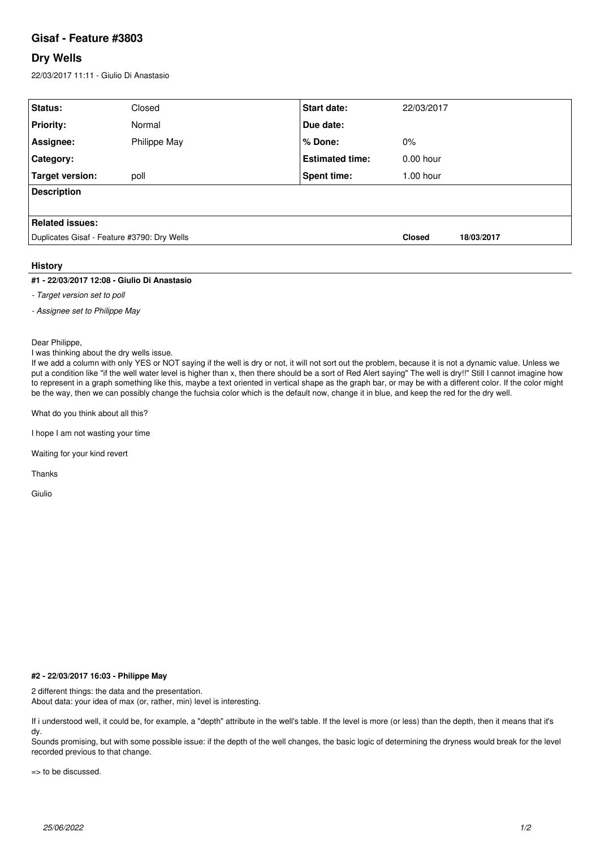# **Gisaf - Feature #3803**

# **Dry Wells**

22/03/2017 11:11 - Giulio Di Anastasio

| Status:                                     | Closed       | <b>Start date:</b>     | 22/03/2017    |            |
|---------------------------------------------|--------------|------------------------|---------------|------------|
| <b>Priority:</b>                            | Normal       | Due date:              |               |            |
| Assignee:                                   | Philippe May | ∣% Done:               | $0\%$         |            |
| <b>Category:</b>                            |              | <b>Estimated time:</b> | $0.00$ hour   |            |
| Target version:                             | poll         | <b>Spent time:</b>     | $1.00$ hour   |            |
| <b>Description</b>                          |              |                        |               |            |
|                                             |              |                        |               |            |
| Related issues:                             |              |                        |               |            |
| Duplicates Gisaf - Feature #3790: Dry Wells |              |                        | <b>Closed</b> | 18/03/2017 |

### **History**

### **#1 - 22/03/2017 12:08 - Giulio Di Anastasio**

*- Target version set to poll*

*- Assignee set to Philippe May*

Dear Philippe,

### I was thinking about the dry wells issue.

If we add a column with only YES or NOT saying if the well is dry or not, it will not sort out the problem, because it is not a dynamic value. Unless we put a condition like "if the well water level is higher than x, then there should be a sort of Red Alert saying" The well is dry!!" Still I cannot imagine how to represent in a graph something like this, maybe a text oriented in vertical shape as the graph bar, or may be with a different color. If the color might be the way, then we can possibly change the fuchsia color which is the default now, change it in blue, and keep the red for the dry well.

What do you think about all this?

I hope I am not wasting your time

Waiting for your kind revert

Thanks

Giulio

#### **#2 - 22/03/2017 16:03 - Philippe May**

2 different things: the data and the presentation. About data: your idea of max (or, rather, min) level is interesting.

If i understood well, it could be, for example, a "depth" attribute in the well's table. If the level is more (or less) than the depth, then it means that it's dy.

Sounds promising, but with some possible issue: if the depth of the well changes, the basic logic of determining the dryness would break for the level recorded previous to that change.

=> to be discussed.